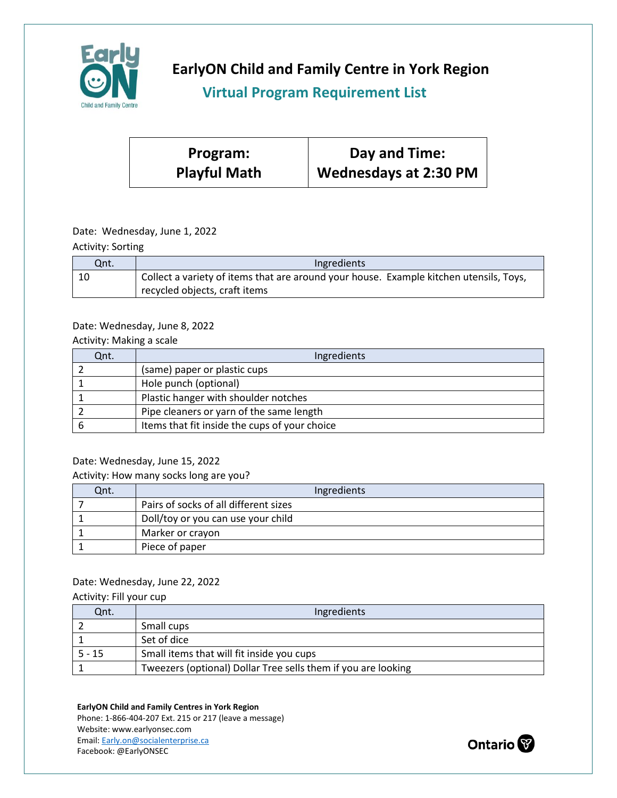

**EarlyON Child and Family Centre in York Region**

## **Virtual Program Requirement List**

| Program:            | Day and Time:                |
|---------------------|------------------------------|
| <b>Playful Math</b> | <b>Wednesdays at 2:30 PM</b> |

## Date: Wednesday, June 1, 2022

Activity: Sorting

| Qnt. | Ingredients                                                                            |
|------|----------------------------------------------------------------------------------------|
|      | Collect a variety of items that are around your house. Example kitchen utensils, Toys, |
|      | recycled objects, craft items                                                          |

### Date: Wednesday, June 8, 2022

Activity: Making a scale

| Qnt. | Ingredients                                   |
|------|-----------------------------------------------|
|      | (same) paper or plastic cups                  |
|      | Hole punch (optional)                         |
|      | Plastic hanger with shoulder notches          |
|      | Pipe cleaners or yarn of the same length      |
|      | Items that fit inside the cups of your choice |

### Date: Wednesday, June 15, 2022

#### Activity: How many socks long are you?

| Qnt. | Ingredients                           |
|------|---------------------------------------|
|      | Pairs of socks of all different sizes |
|      | Doll/toy or you can use your child    |
|      | Marker or crayon                      |
|      | Piece of paper                        |

# Date: Wednesday, June 22, 2022

| Activity: Fill your cup |  |
|-------------------------|--|
|-------------------------|--|

| Qnt.     | Ingredients                                                   |
|----------|---------------------------------------------------------------|
|          | Small cups                                                    |
|          | Set of dice                                                   |
| $5 - 15$ | Small items that will fit inside you cups                     |
|          | Tweezers (optional) Dollar Tree sells them if you are looking |

#### **EarlyON Child and Family Centres in York Region**

Phone: 1-866-404-207 Ext. 215 or 217 (leave a message) Website: www.earlyonsec.com Email[: Early.on@socialenterprise.ca](mailto:Early.on@socialenterprise.ca) Facebook: @EarlyONSEC